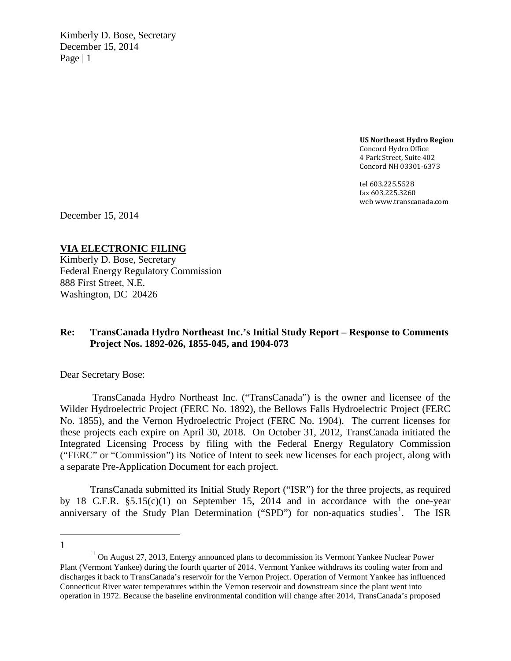Kimberly D. Bose, Secretary December 15, 2014 Page  $|1$ 

> **US Northeast Hydro Region** Concord Hydro Office 4 Park Street, Suite 402 Concord NH 03301-6373

tel 603.225.5528 fax 603.225.3260 web www.transcanada.com

December 15, 2014

**VIA ELECTRONIC FILING**

Kimberly D. Bose, Secretary Federal Energy Regulatory Commission 888 First Street, N.E. Washington, DC 20426

## **Re: TransCanada Hydro Northeast Inc.'s Initial Study Report – Response to Comments Project Nos. 1892-026, 1855-045, and 1904-073**

Dear Secretary Bose:

TransCanada Hydro Northeast Inc. ("TransCanada") is the owner and licensee of the Wilder Hydroelectric Project (FERC No. 1892), the Bellows Falls Hydroelectric Project (FERC No. 1855), and the Vernon Hydroelectric Project (FERC No. 1904). The current licenses for these projects each expire on April 30, 2018. On October 31, 2012, TransCanada initiated the Integrated Licensing Process by filing with the Federal Energy Regulatory Commission ("FERC" or "Commission") its Notice of Intent to seek new licenses for each project, along with a separate Pre-Application Document for each project.

TransCanada submitted its Initial Study Report ("ISR") for the three projects, as required by 18 C.F.R. §5.15(c)(1) on September 15, 2014 and in accordance with the one-year anniversary of the Study Plan Determination ("SPD") for non-aquatics studies<sup>[1](#page-0-0)</sup>. The ISR

 $\overline{a}$ 1

<span id="page-0-0"></span> $\Box$  On August 27, 2013, Entergy announced plans to decommission its Vermont Yankee Nuclear Power Plant (Vermont Yankee) during the fourth quarter of 2014. Vermont Yankee withdraws its cooling water from and discharges it back to TransCanada's reservoir for the Vernon Project. Operation of Vermont Yankee has influenced Connecticut River water temperatures within the Vernon reservoir and downstream since the plant went into operation in 1972. Because the baseline environmental condition will change after 2014, TransCanada's proposed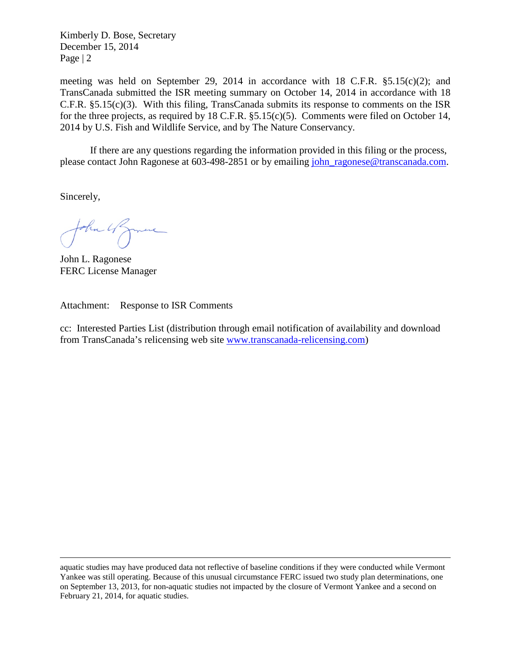Kimberly D. Bose, Secretary December 15, 2014 Page | 2

meeting was held on September 29, 2014 in accordance with 18 C.F.R.  $\S 5.15(c)(2)$ ; and TransCanada submitted the ISR meeting summary on October 14, 2014 in accordance with 18 C.F.R.  $\S 5.15(c)(3)$ . With this filing, TransCanada submits its response to comments on the ISR for the three projects, as required by 18 C.F.R. §5.15(c)(5). Comments were filed on October 14, 2014 by U.S. Fish and Wildlife Service, and by The Nature Conservancy.

If there are any questions regarding the information provided in this filing or the process, please contact John Ragonese at 603-498-2851 or by emailing [john\\_ragonese@transcanada.com.](mailto:john_ragonese@transcanada.com)

Sincerely,

 $\overline{a}$ 

John 4 James

John L. Ragonese FERC License Manager

Attachment: Response to ISR Comments

cc: Interested Parties List (distribution through email notification of availability and download from TransCanada's relicensing web site [www.transcanada-relicensing.com\)](http://www.transcanada-relicensing.com/)

aquatic studies may have produced data not reflective of baseline conditions if they were conducted while Vermont Yankee was still operating. Because of this unusual circumstance FERC issued two study plan determinations, one on September 13, 2013, for non-aquatic studies not impacted by the closure of Vermont Yankee and a second on February 21, 2014, for aquatic studies.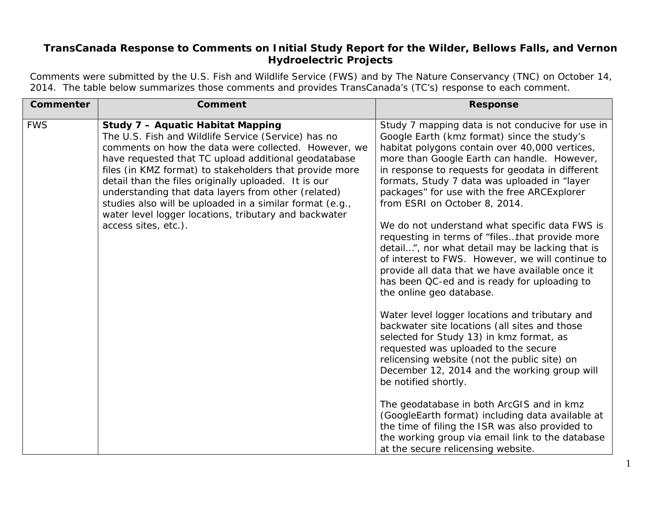## **TransCanada Response to Comments on Initial Study Report for the Wilder, Bellows Falls, and Vernon Hydroelectric Projects**

Comments were submitted by the U.S. Fish and Wildlife Service (FWS) and by The Nature Conservancy (TNC) on October 14, 2014. The table below summarizes those comments and provides TransCanada's (TC's) response to each comment.

| <b>Commenter</b> | <b>Comment</b>                                                                                                                                                                                                                                                                                                                                                                                                                                                                                                                         | <b>Response</b>                                                                                                                                                                                                                                                                                                                                                                                                                                                                                                                                                                                                                                                                                                                                                                                                                                                                                                                                                                                                                                                                                                                                                                                                                                                                             |
|------------------|----------------------------------------------------------------------------------------------------------------------------------------------------------------------------------------------------------------------------------------------------------------------------------------------------------------------------------------------------------------------------------------------------------------------------------------------------------------------------------------------------------------------------------------|---------------------------------------------------------------------------------------------------------------------------------------------------------------------------------------------------------------------------------------------------------------------------------------------------------------------------------------------------------------------------------------------------------------------------------------------------------------------------------------------------------------------------------------------------------------------------------------------------------------------------------------------------------------------------------------------------------------------------------------------------------------------------------------------------------------------------------------------------------------------------------------------------------------------------------------------------------------------------------------------------------------------------------------------------------------------------------------------------------------------------------------------------------------------------------------------------------------------------------------------------------------------------------------------|
| <b>FWS</b>       | <b>Study 7 - Aquatic Habitat Mapping</b><br>The U.S. Fish and Wildlife Service (Service) has no<br>comments on how the data were collected. However, we<br>have requested that TC upload additional geodatabase<br>files (in KMZ format) to stakeholders that provide more<br>detail than the files originally uploaded. It is our<br>understanding that data layers from other (related)<br>studies also will be uploaded in a similar format (e.g.,<br>water level logger locations, tributary and backwater<br>access sites, etc.). | Study 7 mapping data is not conducive for use in<br>Google Earth (kmz format) since the study's<br>habitat polygons contain over 40,000 vertices,<br>more than Google Earth can handle. However,<br>in response to requests for geodata in different<br>formats, Study 7 data was uploaded in "layer<br>packages" for use with the free ARCExplorer<br>from ESRI on October 8, 2014.<br>We do not understand what specific data FWS is<br>requesting in terms of "filesthat provide more<br>detail", nor what detail may be lacking that is<br>of interest to FWS. However, we will continue to<br>provide all data that we have available once it<br>has been QC-ed and is ready for uploading to<br>the online geo database.<br>Water level logger locations and tributary and<br>backwater site locations (all sites and those<br>selected for Study 13) in kmz format, as<br>requested was uploaded to the secure<br>relicensing website (not the public site) on<br>December 12, 2014 and the working group will<br>be notified shortly.<br>The geodatabase in both ArcGIS and in kmz<br>(GoogleEarth format) including data available at<br>the time of filing the ISR was also provided to<br>the working group via email link to the database<br>at the secure relicensing website. |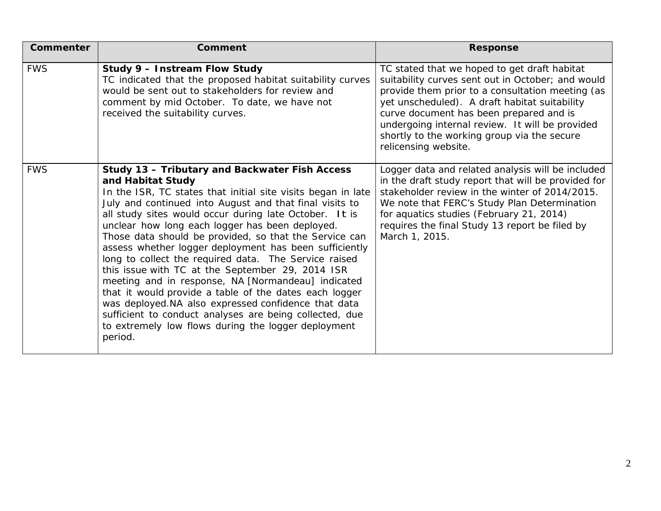| Commenter  | <b>Comment</b>                                                                                                                                                                                                                                                                                                                                                                                                                                                                                                                                                                                                                                                                                                                                                                                                                                   | <b>Response</b>                                                                                                                                                                                                                                                                                                                                                             |
|------------|--------------------------------------------------------------------------------------------------------------------------------------------------------------------------------------------------------------------------------------------------------------------------------------------------------------------------------------------------------------------------------------------------------------------------------------------------------------------------------------------------------------------------------------------------------------------------------------------------------------------------------------------------------------------------------------------------------------------------------------------------------------------------------------------------------------------------------------------------|-----------------------------------------------------------------------------------------------------------------------------------------------------------------------------------------------------------------------------------------------------------------------------------------------------------------------------------------------------------------------------|
| <b>FWS</b> | Study 9 - Instream Flow Study<br>TC indicated that the proposed habitat suitability curves<br>would be sent out to stakeholders for review and<br>comment by mid October. To date, we have not<br>received the suitability curves.                                                                                                                                                                                                                                                                                                                                                                                                                                                                                                                                                                                                               | TC stated that we hoped to get draft habitat<br>suitability curves sent out in October; and would<br>provide them prior to a consultation meeting (as<br>yet unscheduled). A draft habitat suitability<br>curve document has been prepared and is<br>undergoing internal review. It will be provided<br>shortly to the working group via the secure<br>relicensing website. |
| <b>FWS</b> | Study 13 - Tributary and Backwater Fish Access<br>and Habitat Study<br>In the ISR, TC states that initial site visits began in late<br>July and continued into August and that final visits to<br>all study sites would occur during late October. It is<br>unclear how long each logger has been deployed.<br>Those data should be provided, so that the Service can<br>assess whether logger deployment has been sufficiently<br>long to collect the required data. The Service raised<br>this issue with TC at the September 29, 2014 ISR<br>meeting and in response, NA [Normandeau] indicated<br>that it would provide a table of the dates each logger<br>was deployed.NA also expressed confidence that data<br>sufficient to conduct analyses are being collected, due<br>to extremely low flows during the logger deployment<br>period. | Logger data and related analysis will be included<br>in the draft study report that will be provided for<br>stakeholder review in the winter of 2014/2015.<br>We note that FERC's Study Plan Determination<br>for aquatics studies (February 21, 2014)<br>requires the final Study 13 report be filed by<br>March 1, 2015.                                                  |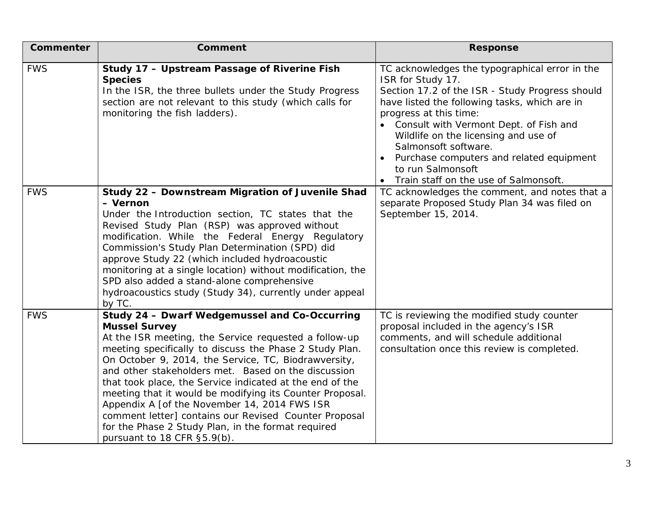| <b>Commenter</b> | Comment                                                                                                                                                                                                                                                                                                                                                                                                                                                                                                                                                                                                                        | <b>Response</b>                                                                                                                                                                                                                                                                                                                                                                                                                    |
|------------------|--------------------------------------------------------------------------------------------------------------------------------------------------------------------------------------------------------------------------------------------------------------------------------------------------------------------------------------------------------------------------------------------------------------------------------------------------------------------------------------------------------------------------------------------------------------------------------------------------------------------------------|------------------------------------------------------------------------------------------------------------------------------------------------------------------------------------------------------------------------------------------------------------------------------------------------------------------------------------------------------------------------------------------------------------------------------------|
| <b>FWS</b>       | Study 17 - Upstream Passage of Riverine Fish<br><b>Species</b><br>In the ISR, the three bullets under the Study Progress<br>section are not relevant to this study (which calls for<br>monitoring the fish ladders).                                                                                                                                                                                                                                                                                                                                                                                                           | TC acknowledges the typographical error in the<br>ISR for Study 17.<br>Section 17.2 of the ISR - Study Progress should<br>have listed the following tasks, which are in<br>progress at this time:<br>Consult with Vermont Dept. of Fish and<br>Wildlife on the licensing and use of<br>Salmonsoft software.<br>Purchase computers and related equipment<br>to run Salmonsoft<br>Train staff on the use of Salmonsoft.<br>$\bullet$ |
| <b>FWS</b>       | Study 22 - Downstream Migration of Juvenile Shad<br>- Vernon<br>Under the Introduction section, TC states that the<br>Revised Study Plan (RSP) was approved without<br>modification. While the Federal Energy Regulatory<br>Commission's Study Plan Determination (SPD) did<br>approve Study 22 (which included hydroacoustic<br>monitoring at a single location) without modification, the<br>SPD also added a stand-alone comprehensive<br>hydroacoustics study (Study 34), currently under appeal<br>by TC.                                                                                                                 | TC acknowledges the comment, and notes that a<br>separate Proposed Study Plan 34 was filed on<br>September 15, 2014.                                                                                                                                                                                                                                                                                                               |
| <b>FWS</b>       | Study 24 - Dwarf Wedgemussel and Co-Occurring<br><b>Mussel Survey</b><br>At the ISR meeting, the Service requested a follow-up<br>meeting specifically to discuss the Phase 2 Study Plan.<br>On October 9, 2014, the Service, TC, Biodrawversity,<br>and other stakeholders met. Based on the discussion<br>that took place, the Service indicated at the end of the<br>meeting that it would be modifying its Counter Proposal.<br>Appendix A [of the November 14, 2014 FWS ISR<br>comment letter] contains our Revised Counter Proposal<br>for the Phase 2 Study Plan, in the format required<br>pursuant to 18 CFR §5.9(b). | TC is reviewing the modified study counter<br>proposal included in the agency's ISR<br>comments, and will schedule additional<br>consultation once this review is completed.                                                                                                                                                                                                                                                       |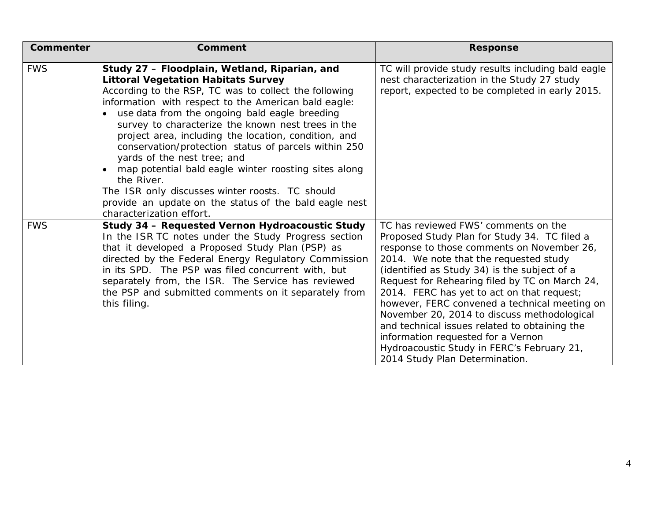| Commenter  | <b>Comment</b>                                                                                                                                                                                                                                                                                                                                                                                                                                                                                                                                                                                                                                                                    | <b>Response</b>                                                                                                                                                                                                                                                                                                                                                                                                                                                                                                                                                                                     |
|------------|-----------------------------------------------------------------------------------------------------------------------------------------------------------------------------------------------------------------------------------------------------------------------------------------------------------------------------------------------------------------------------------------------------------------------------------------------------------------------------------------------------------------------------------------------------------------------------------------------------------------------------------------------------------------------------------|-----------------------------------------------------------------------------------------------------------------------------------------------------------------------------------------------------------------------------------------------------------------------------------------------------------------------------------------------------------------------------------------------------------------------------------------------------------------------------------------------------------------------------------------------------------------------------------------------------|
| <b>FWS</b> | Study 27 - Floodplain, Wetland, Riparian, and<br><b>Littoral Vegetation Habitats Survey</b><br>According to the RSP, TC was to collect the following<br>information with respect to the American bald eagle:<br>use data from the ongoing bald eagle breeding<br>survey to characterize the known nest trees in the<br>project area, including the location, condition, and<br>conservation/protection status of parcels within 250<br>yards of the nest tree; and<br>map potential bald eagle winter roosting sites along<br>the River.<br>The ISR only discusses winter roosts. TC should<br>provide an update on the status of the bald eagle nest<br>characterization effort. | TC will provide study results including bald eagle<br>nest characterization in the Study 27 study<br>report, expected to be completed in early 2015.                                                                                                                                                                                                                                                                                                                                                                                                                                                |
| <b>FWS</b> | Study 34 - Requested Vernon Hydroacoustic Study<br>In the ISR TC notes under the Study Progress section<br>that it developed a Proposed Study Plan (PSP) as<br>directed by the Federal Energy Regulatory Commission<br>in its SPD. The PSP was filed concurrent with, but<br>separately from, the ISR. The Service has reviewed<br>the PSP and submitted comments on it separately from<br>this filing.                                                                                                                                                                                                                                                                           | TC has reviewed FWS' comments on the<br>Proposed Study Plan for Study 34. TC filed a<br>response to those comments on November 26,<br>2014. We note that the requested study<br>(identified as Study 34) is the subject of a<br>Request for Rehearing filed by TC on March 24,<br>2014. FERC has yet to act on that request;<br>however, FERC convened a technical meeting on<br>November 20, 2014 to discuss methodological<br>and technical issues related to obtaining the<br>information requested for a Vernon<br>Hydroacoustic Study in FERC's February 21,<br>2014 Study Plan Determination. |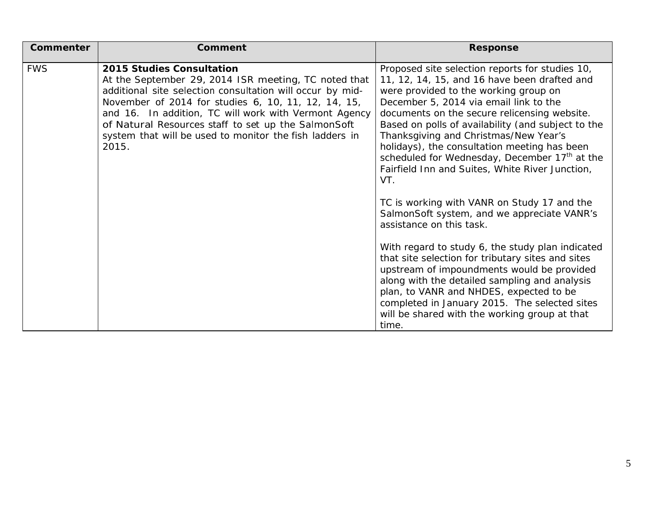| Commenter  | <b>Comment</b>                                                                                                                                                                                                                                                                                                                                                                            | <b>Response</b>                                                                                                                                                                                                                                                                                                                                                                                                                                                                                                                                                                                                                                                                                                                                                                                                                                                                                                                                                                                  |
|------------|-------------------------------------------------------------------------------------------------------------------------------------------------------------------------------------------------------------------------------------------------------------------------------------------------------------------------------------------------------------------------------------------|--------------------------------------------------------------------------------------------------------------------------------------------------------------------------------------------------------------------------------------------------------------------------------------------------------------------------------------------------------------------------------------------------------------------------------------------------------------------------------------------------------------------------------------------------------------------------------------------------------------------------------------------------------------------------------------------------------------------------------------------------------------------------------------------------------------------------------------------------------------------------------------------------------------------------------------------------------------------------------------------------|
| <b>FWS</b> | 2015 Studies Consultation<br>At the September 29, 2014 ISR meeting, TC noted that<br>additional site selection consultation will occur by mid-<br>November of 2014 for studies 6, 10, 11, 12, 14, 15,<br>and 16. In addition, TC will work with Vermont Agency<br>of Natural Resources staff to set up the SalmonSoft<br>system that will be used to monitor the fish ladders in<br>2015. | Proposed site selection reports for studies 10,<br>11, 12, 14, 15, and 16 have been drafted and<br>were provided to the working group on<br>December 5, 2014 via email link to the<br>documents on the secure relicensing website.<br>Based on polls of availability (and subject to the<br>Thanksgiving and Christmas/New Year's<br>holidays), the consultation meeting has been<br>scheduled for Wednesday, December 17 <sup>th</sup> at the<br>Fairfield Inn and Suites, White River Junction,<br>VT.<br>TC is working with VANR on Study 17 and the<br>SalmonSoft system, and we appreciate VANR's<br>assistance on this task.<br>With regard to study 6, the study plan indicated<br>that site selection for tributary sites and sites<br>upstream of impoundments would be provided<br>along with the detailed sampling and analysis<br>plan, to VANR and NHDES, expected to be<br>completed in January 2015. The selected sites<br>will be shared with the working group at that<br>time. |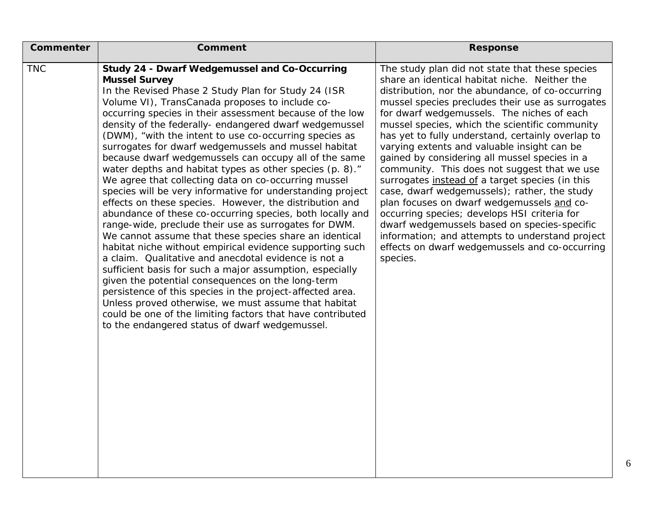| Commenter  | Comment                                                                                                                                                                                                                                                                                                                                                                                                                                                                                                                                                                                                                                                                                                                                                                                                                                                                                                                                                                                                                                                                                                                                                                                                                                                                                                                                                                                        | <b>Response</b>                                                                                                                                                                                                                                                                                                                                                                                                                                                                                                                                                                                                                                                                                                                                                                                                                                                                 |
|------------|------------------------------------------------------------------------------------------------------------------------------------------------------------------------------------------------------------------------------------------------------------------------------------------------------------------------------------------------------------------------------------------------------------------------------------------------------------------------------------------------------------------------------------------------------------------------------------------------------------------------------------------------------------------------------------------------------------------------------------------------------------------------------------------------------------------------------------------------------------------------------------------------------------------------------------------------------------------------------------------------------------------------------------------------------------------------------------------------------------------------------------------------------------------------------------------------------------------------------------------------------------------------------------------------------------------------------------------------------------------------------------------------|---------------------------------------------------------------------------------------------------------------------------------------------------------------------------------------------------------------------------------------------------------------------------------------------------------------------------------------------------------------------------------------------------------------------------------------------------------------------------------------------------------------------------------------------------------------------------------------------------------------------------------------------------------------------------------------------------------------------------------------------------------------------------------------------------------------------------------------------------------------------------------|
| <b>TNC</b> | <b>Study 24 - Dwarf Wedgemussel and Co-Occurring</b><br><b>Mussel Survey</b><br>In the Revised Phase 2 Study Plan for Study 24 (ISR<br>Volume VI), TransCanada proposes to include co-<br>occurring species in their assessment because of the low<br>density of the federally- endangered dwarf wedgemussel<br>(DWM), "with the intent to use co-occurring species as<br>surrogates for dwarf wedgemussels and mussel habitat<br>because dwarf wedgemussels can occupy all of the same<br>water depths and habitat types as other species (p. 8)."<br>We agree that collecting data on co-occurring mussel<br>species will be very informative for understanding project<br>effects on these species. However, the distribution and<br>abundance of these co-occurring species, both locally and<br>range-wide, preclude their use as surrogates for DWM.<br>We cannot assume that these species share an identical<br>habitat niche without empirical evidence supporting such<br>a claim. Qualitative and anecdotal evidence is not a<br>sufficient basis for such a major assumption, especially<br>given the potential consequences on the long-term<br>persistence of this species in the project-affected area.<br>Unless proved otherwise, we must assume that habitat<br>could be one of the limiting factors that have contributed<br>to the endangered status of dwarf wedgemussel. | The study plan did not state that these species<br>share an identical habitat niche. Neither the<br>distribution, nor the abundance, of co-occurring<br>mussel species precludes their use as surrogates<br>for dwarf wedgemussels. The niches of each<br>mussel species, which the scientific community<br>has yet to fully understand, certainly overlap to<br>varying extents and valuable insight can be<br>gained by considering all mussel species in a<br>community. This does not suggest that we use<br>surrogates instead of a target species (in this<br>case, dwarf wedgemussels); rather, the study<br>plan focuses on dwarf wedgemussels and co-<br>occurring species; develops HSI criteria for<br>dwarf wedgemussels based on species-specific<br>information; and attempts to understand project<br>effects on dwarf wedgemussels and co-occurring<br>species. |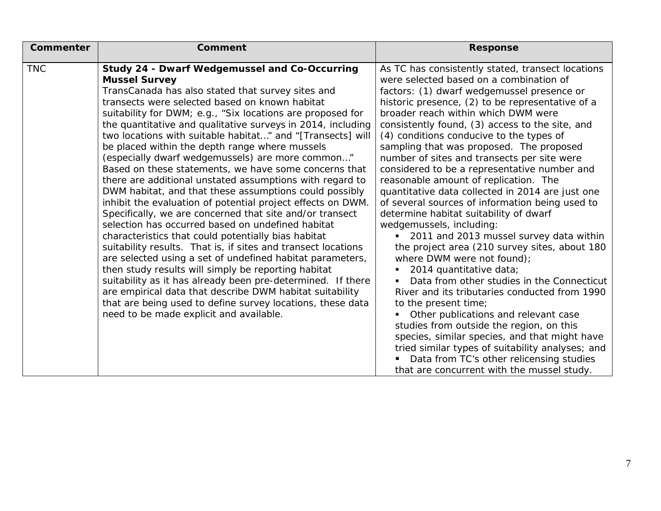| Commenter  | <b>Comment</b>                                                                                                                                                                                                                                                                                                                                                                                                                                                                                                                                                                                                                                                                                                                                                                                                                                                                                                                                                                                                                                                                                                                                                                                                                                                                                                               | <b>Response</b>                                                                                                                                                                                                                                                                                                                                                                                                                                                                                                                                                                                                                                                                                                                                                                                                                                                                                                                                                                                                                                                                                                                                                                                                                                                      |
|------------|------------------------------------------------------------------------------------------------------------------------------------------------------------------------------------------------------------------------------------------------------------------------------------------------------------------------------------------------------------------------------------------------------------------------------------------------------------------------------------------------------------------------------------------------------------------------------------------------------------------------------------------------------------------------------------------------------------------------------------------------------------------------------------------------------------------------------------------------------------------------------------------------------------------------------------------------------------------------------------------------------------------------------------------------------------------------------------------------------------------------------------------------------------------------------------------------------------------------------------------------------------------------------------------------------------------------------|----------------------------------------------------------------------------------------------------------------------------------------------------------------------------------------------------------------------------------------------------------------------------------------------------------------------------------------------------------------------------------------------------------------------------------------------------------------------------------------------------------------------------------------------------------------------------------------------------------------------------------------------------------------------------------------------------------------------------------------------------------------------------------------------------------------------------------------------------------------------------------------------------------------------------------------------------------------------------------------------------------------------------------------------------------------------------------------------------------------------------------------------------------------------------------------------------------------------------------------------------------------------|
| <b>TNC</b> | Study 24 - Dwarf Wedgemussel and Co-Occurring<br><b>Mussel Survey</b><br>TransCanada has also stated that survey sites and<br>transects were selected based on known habitat<br>suitability for DWM; e.g., "Six locations are proposed for<br>the quantitative and qualitative surveys in 2014, including<br>two locations with suitable habitat" and "[Transects] will<br>be placed within the depth range where mussels<br>(especially dwarf wedgemussels) are more common"<br>Based on these statements, we have some concerns that<br>there are additional unstated assumptions with regard to<br>DWM habitat, and that these assumptions could possibly<br>inhibit the evaluation of potential project effects on DWM.<br>Specifically, we are concerned that site and/or transect<br>selection has occurred based on undefined habitat<br>characteristics that could potentially bias habitat<br>suitability results. That is, if sites and transect locations<br>are selected using a set of undefined habitat parameters,<br>then study results will simply be reporting habitat<br>suitability as it has already been pre-determined. If there<br>are empirical data that describe DWM habitat suitability<br>that are being used to define survey locations, these data<br>need to be made explicit and available. | As TC has consistently stated, transect locations<br>were selected based on a combination of<br>factors: (1) dwarf wedgemussel presence or<br>historic presence, (2) to be representative of a<br>broader reach within which DWM were<br>consistently found, (3) access to the site, and<br>(4) conditions conducive to the types of<br>sampling that was proposed. The proposed<br>number of sites and transects per site were<br>considered to be a representative number and<br>reasonable amount of replication. The<br>quantitative data collected in 2014 are just one<br>of several sources of information being used to<br>determine habitat suitability of dwarf<br>wedgemussels, including:<br>2011 and 2013 mussel survey data within<br>the project area (210 survey sites, about 180<br>where DWM were not found);<br>2014 quantitative data;<br>Data from other studies in the Connecticut<br>River and its tributaries conducted from 1990<br>to the present time;<br>Other publications and relevant case<br>studies from outside the region, on this<br>species, similar species, and that might have<br>tried similar types of suitability analyses; and<br>Data from TC's other relicensing studies<br>that are concurrent with the mussel study. |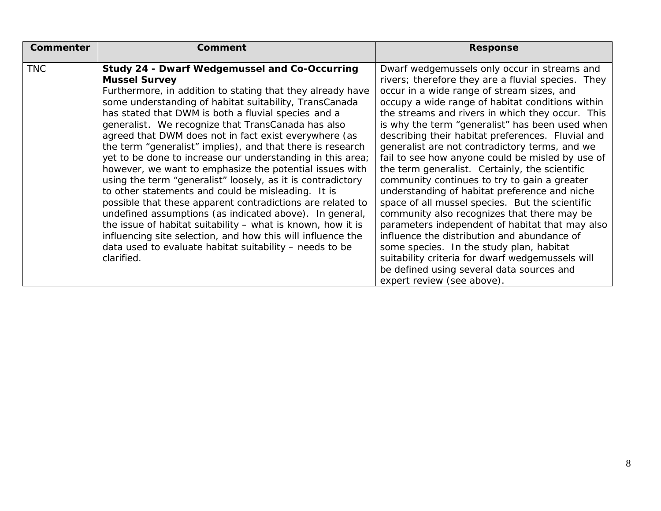| Commenter  | <b>Comment</b>                                                                                                                                                                                                                                                                                                                                                                                                                                                                                                                                                                                                                                                                                                                                                                                                                                                                                                                                                                                                  | <b>Response</b>                                                                                                                                                                                                                                                                                                                                                                                                                                                                                                                                                                                                                                                                                                                                                                                                                                                                                                                                                                                          |
|------------|-----------------------------------------------------------------------------------------------------------------------------------------------------------------------------------------------------------------------------------------------------------------------------------------------------------------------------------------------------------------------------------------------------------------------------------------------------------------------------------------------------------------------------------------------------------------------------------------------------------------------------------------------------------------------------------------------------------------------------------------------------------------------------------------------------------------------------------------------------------------------------------------------------------------------------------------------------------------------------------------------------------------|----------------------------------------------------------------------------------------------------------------------------------------------------------------------------------------------------------------------------------------------------------------------------------------------------------------------------------------------------------------------------------------------------------------------------------------------------------------------------------------------------------------------------------------------------------------------------------------------------------------------------------------------------------------------------------------------------------------------------------------------------------------------------------------------------------------------------------------------------------------------------------------------------------------------------------------------------------------------------------------------------------|
| <b>TNC</b> | Study 24 - Dwarf Wedgemussel and Co-Occurring<br><b>Mussel Survey</b><br>Furthermore, in addition to stating that they already have<br>some understanding of habitat suitability, TransCanada<br>has stated that DWM is both a fluvial species and a<br>generalist. We recognize that TransCanada has also<br>agreed that DWM does not in fact exist everywhere (as<br>the term "generalist" implies), and that there is research<br>yet to be done to increase our understanding in this area;<br>however, we want to emphasize the potential issues with<br>using the term "generalist" loosely, as it is contradictory<br>to other statements and could be misleading. It is<br>possible that these apparent contradictions are related to<br>undefined assumptions (as indicated above). In general,<br>the issue of habitat suitability - what is known, how it is<br>influencing site selection, and how this will influence the<br>data used to evaluate habitat suitability – needs to be<br>clarified. | Dwarf wedgemussels only occur in streams and<br>rivers; therefore they are a fluvial species. They<br>occur in a wide range of stream sizes, and<br>occupy a wide range of habitat conditions within<br>the streams and rivers in which they occur. This<br>is why the term "generalist" has been used when<br>describing their habitat preferences. Fluvial and<br>generalist are not contradictory terms, and we<br>fail to see how anyone could be misled by use of<br>the term generalist. Certainly, the scientific<br>community continues to try to gain a greater<br>understanding of habitat preference and niche<br>space of all mussel species. But the scientific<br>community also recognizes that there may be<br>parameters independent of habitat that may also<br>influence the distribution and abundance of<br>some species. In the study plan, habitat<br>suitability criteria for dwarf wedgemussels will<br>be defined using several data sources and<br>expert review (see above). |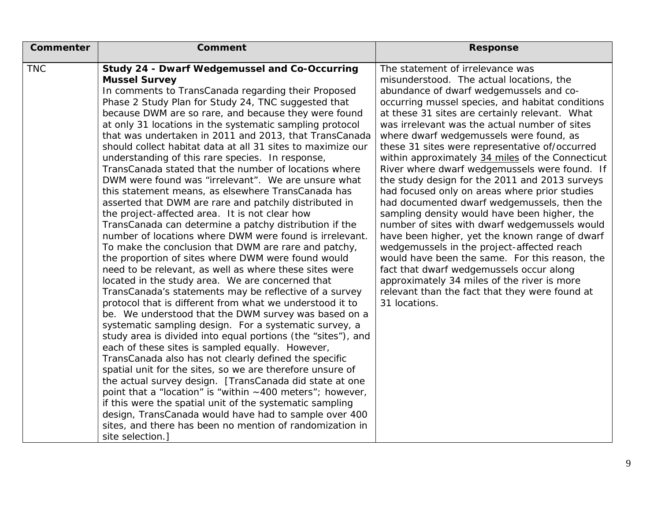| Commenter  | <b>Comment</b>                                                                                                                                                                                                                                                                                                                                                                                                                                                                                                                                                                                                                                                                                                                                                                                                                                                                                                                                                                                                                                                                                                                                                                                                                                                                                                                                                                                                                                                                                                                                                                                                                                                                                                                                                                                                                                                                                                                                | <b>Response</b>                                                                                                                                                                                                                                                                                                                                                                                                                                                                                                                                                                                                                                                                                                                                                                                                                                                                                                                                                                                                                                     |
|------------|-----------------------------------------------------------------------------------------------------------------------------------------------------------------------------------------------------------------------------------------------------------------------------------------------------------------------------------------------------------------------------------------------------------------------------------------------------------------------------------------------------------------------------------------------------------------------------------------------------------------------------------------------------------------------------------------------------------------------------------------------------------------------------------------------------------------------------------------------------------------------------------------------------------------------------------------------------------------------------------------------------------------------------------------------------------------------------------------------------------------------------------------------------------------------------------------------------------------------------------------------------------------------------------------------------------------------------------------------------------------------------------------------------------------------------------------------------------------------------------------------------------------------------------------------------------------------------------------------------------------------------------------------------------------------------------------------------------------------------------------------------------------------------------------------------------------------------------------------------------------------------------------------------------------------------------------------|-----------------------------------------------------------------------------------------------------------------------------------------------------------------------------------------------------------------------------------------------------------------------------------------------------------------------------------------------------------------------------------------------------------------------------------------------------------------------------------------------------------------------------------------------------------------------------------------------------------------------------------------------------------------------------------------------------------------------------------------------------------------------------------------------------------------------------------------------------------------------------------------------------------------------------------------------------------------------------------------------------------------------------------------------------|
| <b>TNC</b> | <b>Study 24 - Dwarf Wedgemussel and Co-Occurring</b><br><b>Mussel Survey</b><br>In comments to TransCanada regarding their Proposed<br>Phase 2 Study Plan for Study 24, TNC suggested that<br>because DWM are so rare, and because they were found<br>at only 31 locations in the systematic sampling protocol<br>that was undertaken in 2011 and 2013, that TransCanada<br>should collect habitat data at all 31 sites to maximize our<br>understanding of this rare species. In response,<br>TransCanada stated that the number of locations where<br>DWM were found was "irrelevant". We are unsure what<br>this statement means, as elsewhere TransCanada has<br>asserted that DWM are rare and patchily distributed in<br>the project-affected area. It is not clear how<br>TransCanada can determine a patchy distribution if the<br>number of locations where DWM were found is irrelevant.<br>To make the conclusion that DWM are rare and patchy,<br>the proportion of sites where DWM were found would<br>need to be relevant, as well as where these sites were<br>located in the study area. We are concerned that<br>TransCanada's statements may be reflective of a survey<br>protocol that is different from what we understood it to<br>be. We understood that the DWM survey was based on a<br>systematic sampling design. For a systematic survey, a<br>study area is divided into equal portions (the "sites"), and<br>each of these sites is sampled equally. However,<br>TransCanada also has not clearly defined the specific<br>spatial unit for the sites, so we are therefore unsure of<br>the actual survey design. [TransCanada did state at one<br>point that a "location" is "within ~400 meters"; however,<br>if this were the spatial unit of the systematic sampling<br>design, TransCanada would have had to sample over 400<br>sites, and there has been no mention of randomization in<br>site selection.] | The statement of irrelevance was<br>misunderstood. The actual locations, the<br>abundance of dwarf wedgemussels and co-<br>occurring mussel species, and habitat conditions<br>at these 31 sites are certainly relevant. What<br>was irrelevant was the actual number of sites<br>where dwarf wedgemussels were found, as<br>these 31 sites were representative of/occurred<br>within approximately 34 miles of the Connecticut<br>River where dwarf wedgemussels were found. If<br>the study design for the 2011 and 2013 surveys<br>had focused only on areas where prior studies<br>had documented dwarf wedgemussels, then the<br>sampling density would have been higher, the<br>number of sites with dwarf wedgemussels would<br>have been higher, yet the known range of dwarf<br>wedgemussels in the project-affected reach<br>would have been the same. For this reason, the<br>fact that dwarf wedgemussels occur along<br>approximately 34 miles of the river is more<br>relevant than the fact that they were found at<br>31 locations. |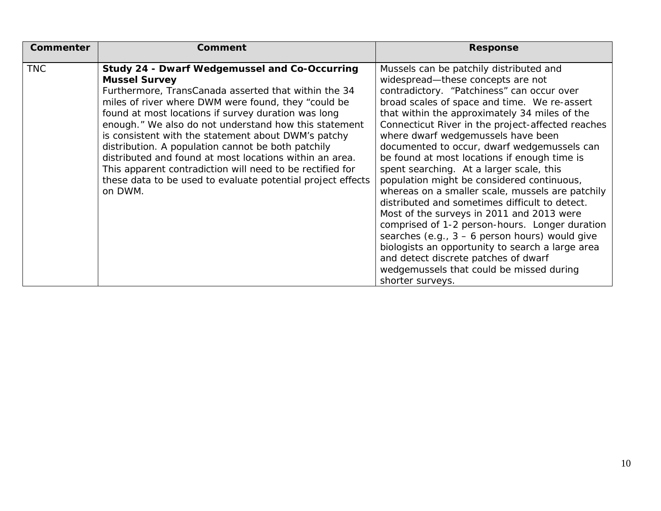| <b>Commenter</b> | Comment                                                                                                                                                                                                                                                                                                                                                                                                                                                                                                                                                                                                                    | <b>Response</b>                                                                                                                                                                                                                                                                                                                                                                                                                                                                                                                                                                                                                                                                                                                                                                                                                                                                                                                      |
|------------------|----------------------------------------------------------------------------------------------------------------------------------------------------------------------------------------------------------------------------------------------------------------------------------------------------------------------------------------------------------------------------------------------------------------------------------------------------------------------------------------------------------------------------------------------------------------------------------------------------------------------------|--------------------------------------------------------------------------------------------------------------------------------------------------------------------------------------------------------------------------------------------------------------------------------------------------------------------------------------------------------------------------------------------------------------------------------------------------------------------------------------------------------------------------------------------------------------------------------------------------------------------------------------------------------------------------------------------------------------------------------------------------------------------------------------------------------------------------------------------------------------------------------------------------------------------------------------|
| <b>TNC</b>       | <b>Study 24 - Dwarf Wedgemussel and Co-Occurring</b><br><b>Mussel Survey</b><br>Furthermore, TransCanada asserted that within the 34<br>miles of river where DWM were found, they "could be<br>found at most locations if survey duration was long<br>enough." We also do not understand how this statement<br>is consistent with the statement about DWM's patchy<br>distribution. A population cannot be both patchily<br>distributed and found at most locations within an area.<br>This apparent contradiction will need to be rectified for<br>these data to be used to evaluate potential project effects<br>on DWM. | Mussels can be patchily distributed and<br>widespread-these concepts are not<br>contradictory. "Patchiness" can occur over<br>broad scales of space and time. We re-assert<br>that within the approximately 34 miles of the<br>Connecticut River in the project-affected reaches<br>where dwarf wedgemussels have been<br>documented to occur, dwarf wedgemussels can<br>be found at most locations if enough time is<br>spent searching. At a larger scale, this<br>population might be considered continuous,<br>whereas on a smaller scale, mussels are patchily<br>distributed and sometimes difficult to detect.<br>Most of the surveys in 2011 and 2013 were<br>comprised of 1-2 person-hours. Longer duration<br>searches (e.g., $3 - 6$ person hours) would give<br>biologists an opportunity to search a large area<br>and detect discrete patches of dwarf<br>wedgemussels that could be missed during<br>shorter surveys. |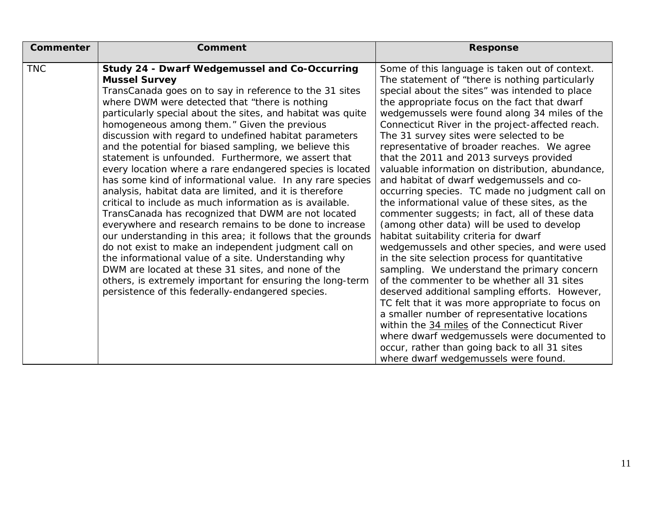| Commenter  | Comment                                                     | <b>Response</b>                                  |
|------------|-------------------------------------------------------------|--------------------------------------------------|
| <b>TNC</b> | <b>Study 24 - Dwarf Wedgemussel and Co-Occurring</b>        | Some of this language is taken out of context.   |
|            | <b>Mussel Survey</b>                                        | The statement of "there is nothing particularly  |
|            | TransCanada goes on to say in reference to the 31 sites     | special about the sites" was intended to place   |
|            | where DWM were detected that "there is nothing              | the appropriate focus on the fact that dwarf     |
|            | particularly special about the sites, and habitat was quite | wedgemussels were found along 34 miles of the    |
|            | homogeneous among them." Given the previous                 | Connecticut River in the project-affected reach. |
|            | discussion with regard to undefined habitat parameters      | The 31 survey sites were selected to be          |
|            | and the potential for biased sampling, we believe this      | representative of broader reaches. We agree      |
|            | statement is unfounded. Furthermore, we assert that         | that the 2011 and 2013 surveys provided          |
|            | every location where a rare endangered species is located   | valuable information on distribution, abundance, |
|            | has some kind of informational value. In any rare species   | and habitat of dwarf wedgemussels and co-        |
|            | analysis, habitat data are limited, and it is therefore     | occurring species. TC made no judgment call on   |
|            | critical to include as much information as is available.    | the informational value of these sites, as the   |
|            | TransCanada has recognized that DWM are not located         | commenter suggests; in fact, all of these data   |
|            | everywhere and research remains to be done to increase      | (among other data) will be used to develop       |
|            | our understanding in this area; it follows that the grounds | habitat suitability criteria for dwarf           |
|            | do not exist to make an independent judgment call on        | wedgemussels and other species, and were used    |
|            | the informational value of a site. Understanding why        | in the site selection process for quantitative   |
|            | DWM are located at these 31 sites, and none of the          | sampling. We understand the primary concern      |
|            | others, is extremely important for ensuring the long-term   | of the commenter to be whether all 31 sites      |
|            | persistence of this federally-endangered species.           | deserved additional sampling efforts. However,   |
|            |                                                             | TC felt that it was more appropriate to focus on |
|            |                                                             | a smaller number of representative locations     |
|            |                                                             | within the 34 miles of the Connecticut River     |
|            |                                                             | where dwarf wedgemussels were documented to      |
|            |                                                             | occur, rather than going back to all 31 sites    |
|            |                                                             | where dwarf wedgemussels were found.             |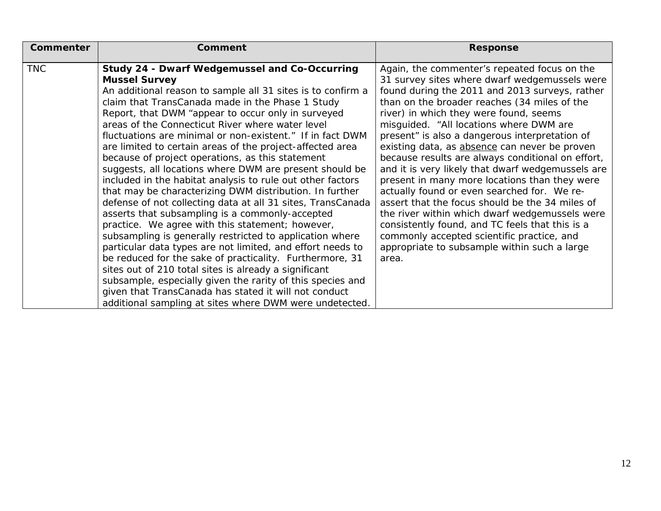| <b>Comment</b>                                                                                                                                                                                                                                                                                                                                                                                                                                                                                                                                                                                                                                                                                                                                                                                                                                                                                                                                                                                                                                                                                                                                                                                                          | <b>Response</b>                                                                                                                                                                                                                                                                                                                                                                                                                                                                                                                                                                                                                                                                                                                                                                                                                                                  |
|-------------------------------------------------------------------------------------------------------------------------------------------------------------------------------------------------------------------------------------------------------------------------------------------------------------------------------------------------------------------------------------------------------------------------------------------------------------------------------------------------------------------------------------------------------------------------------------------------------------------------------------------------------------------------------------------------------------------------------------------------------------------------------------------------------------------------------------------------------------------------------------------------------------------------------------------------------------------------------------------------------------------------------------------------------------------------------------------------------------------------------------------------------------------------------------------------------------------------|------------------------------------------------------------------------------------------------------------------------------------------------------------------------------------------------------------------------------------------------------------------------------------------------------------------------------------------------------------------------------------------------------------------------------------------------------------------------------------------------------------------------------------------------------------------------------------------------------------------------------------------------------------------------------------------------------------------------------------------------------------------------------------------------------------------------------------------------------------------|
| <b>Study 24 - Dwarf Wedgemussel and Co-Occurring</b><br><b>Mussel Survey</b><br>An additional reason to sample all 31 sites is to confirm a<br>claim that TransCanada made in the Phase 1 Study<br>Report, that DWM "appear to occur only in surveyed<br>areas of the Connecticut River where water level<br>fluctuations are minimal or non-existent." If in fact DWM<br>are limited to certain areas of the project-affected area<br>because of project operations, as this statement<br>suggests, all locations where DWM are present should be<br>included in the habitat analysis to rule out other factors<br>that may be characterizing DWM distribution. In further<br>defense of not collecting data at all 31 sites, TransCanada<br>asserts that subsampling is a commonly-accepted<br>practice. We agree with this statement; however,<br>subsampling is generally restricted to application where<br>particular data types are not limited, and effort needs to<br>be reduced for the sake of practicality. Furthermore, 31<br>sites out of 210 total sites is already a significant<br>subsample, especially given the rarity of this species and<br>given that TransCanada has stated it will not conduct | Again, the commenter's repeated focus on the<br>31 survey sites where dwarf wedgemussels were<br>found during the 2011 and 2013 surveys, rather<br>than on the broader reaches (34 miles of the<br>river) in which they were found, seems<br>misguided. "All locations where DWM are<br>present" is also a dangerous interpretation of<br>existing data, as absence can never be proven<br>because results are always conditional on effort,<br>and it is very likely that dwarf wedgemussels are<br>present in many more locations than they were<br>actually found or even searched for. We re-<br>assert that the focus should be the 34 miles of<br>the river within which dwarf wedgemussels were<br>consistently found, and TC feels that this is a<br>commonly accepted scientific practice, and<br>appropriate to subsample within such a large<br>area. |
|                                                                                                                                                                                                                                                                                                                                                                                                                                                                                                                                                                                                                                                                                                                                                                                                                                                                                                                                                                                                                                                                                                                                                                                                                         | additional sampling at sites where DWM were undetected.                                                                                                                                                                                                                                                                                                                                                                                                                                                                                                                                                                                                                                                                                                                                                                                                          |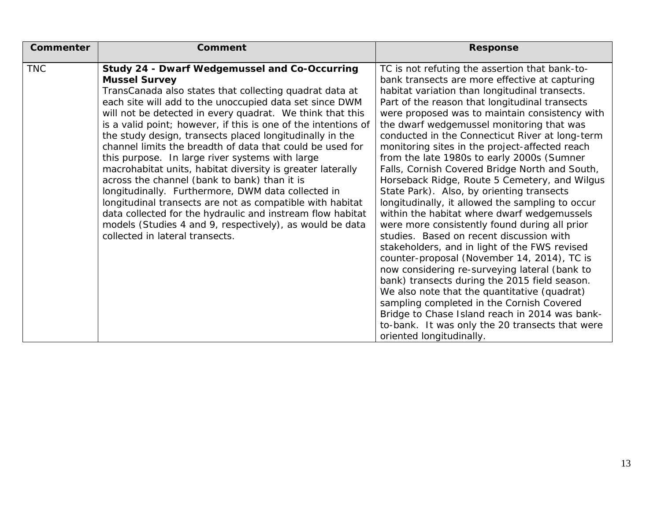| <b>Response</b>                                                                                                                                                                                                                                                                                                                                                                                                                                                                                                                                                                                                                                                                                                                                                                                                                                                                                                                                                                                                                                                                                                                                                                                            |
|------------------------------------------------------------------------------------------------------------------------------------------------------------------------------------------------------------------------------------------------------------------------------------------------------------------------------------------------------------------------------------------------------------------------------------------------------------------------------------------------------------------------------------------------------------------------------------------------------------------------------------------------------------------------------------------------------------------------------------------------------------------------------------------------------------------------------------------------------------------------------------------------------------------------------------------------------------------------------------------------------------------------------------------------------------------------------------------------------------------------------------------------------------------------------------------------------------|
| TC is not refuting the assertion that bank-to-<br>bank transects are more effective at capturing<br>habitat variation than longitudinal transects.<br>Part of the reason that longitudinal transects<br>were proposed was to maintain consistency with<br>the dwarf wedgemussel monitoring that was<br>conducted in the Connecticut River at long-term<br>monitoring sites in the project-affected reach<br>from the late 1980s to early 2000s (Sumner<br>Falls, Cornish Covered Bridge North and South,<br>Horseback Ridge, Route 5 Cemetery, and Wilgus<br>State Park). Also, by orienting transects<br>longitudinally, it allowed the sampling to occur<br>within the habitat where dwarf wedgemussels<br>were more consistently found during all prior<br>studies. Based on recent discussion with<br>stakeholders, and in light of the FWS revised<br>counter-proposal (November 14, 2014), TC is<br>now considering re-surveying lateral (bank to<br>bank) transects during the 2015 field season.<br>We also note that the quantitative (quadrat)<br>sampling completed in the Cornish Covered<br>Bridge to Chase Island reach in 2014 was bank-<br>to-bank. It was only the 20 transects that were |
|                                                                                                                                                                                                                                                                                                                                                                                                                                                                                                                                                                                                                                                                                                                                                                                                                                                                                                                                                                                                                                                                                                                                                                                                            |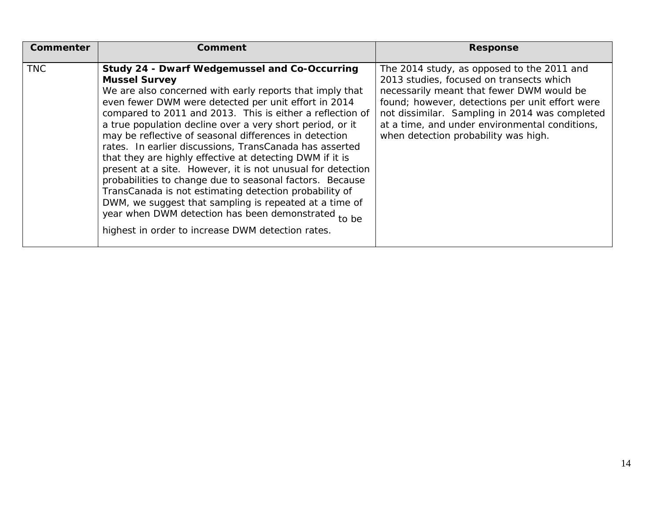| Commenter  | Comment                                                                                                                                                                                                                                                                                                                                                                                                                                                                                                                                                                                                                                                                                                                                                                                                                                                         | <b>Response</b>                                                                                                                                                                                                                                                                                                                    |
|------------|-----------------------------------------------------------------------------------------------------------------------------------------------------------------------------------------------------------------------------------------------------------------------------------------------------------------------------------------------------------------------------------------------------------------------------------------------------------------------------------------------------------------------------------------------------------------------------------------------------------------------------------------------------------------------------------------------------------------------------------------------------------------------------------------------------------------------------------------------------------------|------------------------------------------------------------------------------------------------------------------------------------------------------------------------------------------------------------------------------------------------------------------------------------------------------------------------------------|
| <b>TNC</b> | Study 24 - Dwarf Wedgemussel and Co-Occurring<br><b>Mussel Survey</b><br>We are also concerned with early reports that imply that<br>even fewer DWM were detected per unit effort in 2014<br>compared to 2011 and 2013. This is either a reflection of<br>a true population decline over a very short period, or it<br>may be reflective of seasonal differences in detection<br>rates. In earlier discussions, TransCanada has asserted<br>that they are highly effective at detecting DWM if it is<br>present at a site. However, it is not unusual for detection<br>probabilities to change due to seasonal factors. Because<br>TransCanada is not estimating detection probability of<br>DWM, we suggest that sampling is repeated at a time of<br>year when DWM detection has been demonstrated to be<br>highest in order to increase DWM detection rates. | The 2014 study, as opposed to the 2011 and<br>2013 studies, focused on transects which<br>necessarily meant that fewer DWM would be<br>found; however, detections per unit effort were<br>not dissimilar. Sampling in 2014 was completed<br>at a time, and under environmental conditions,<br>when detection probability was high. |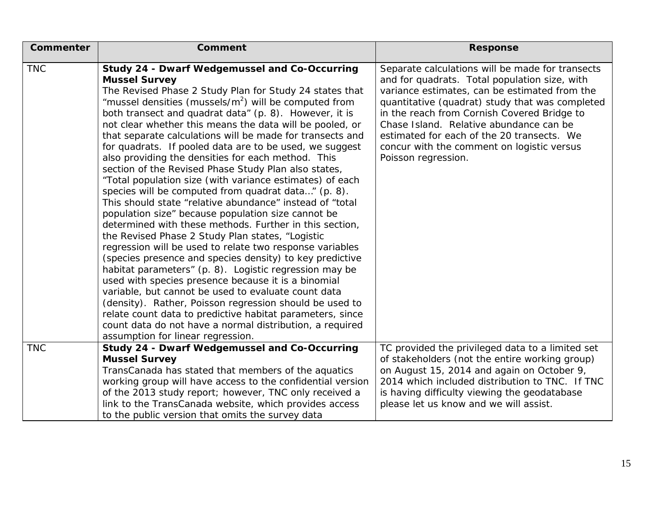| <b>Commenter</b> | <b>Comment</b>                                                                                                                                                                                                                                                                                                                                                                                                                                                                                                                                                                                                                                                                                                                                                                                                                                                                                                                                                                                                                                                                                                                                                                                                                                                                                                                                                                                                                               | <b>Response</b>                                                                                                                                                                                                                                                                                                                                                                                                    |
|------------------|----------------------------------------------------------------------------------------------------------------------------------------------------------------------------------------------------------------------------------------------------------------------------------------------------------------------------------------------------------------------------------------------------------------------------------------------------------------------------------------------------------------------------------------------------------------------------------------------------------------------------------------------------------------------------------------------------------------------------------------------------------------------------------------------------------------------------------------------------------------------------------------------------------------------------------------------------------------------------------------------------------------------------------------------------------------------------------------------------------------------------------------------------------------------------------------------------------------------------------------------------------------------------------------------------------------------------------------------------------------------------------------------------------------------------------------------|--------------------------------------------------------------------------------------------------------------------------------------------------------------------------------------------------------------------------------------------------------------------------------------------------------------------------------------------------------------------------------------------------------------------|
| <b>TNC</b>       | <b>Study 24 - Dwarf Wedgemussel and Co-Occurring</b><br><b>Mussel Survey</b><br>The Revised Phase 2 Study Plan for Study 24 states that<br>"mussel densities (mussels/ $m2$ ) will be computed from<br>both transect and quadrat data" (p. 8). However, it is<br>not clear whether this means the data will be pooled, or<br>that separate calculations will be made for transects and<br>for quadrats. If pooled data are to be used, we suggest<br>also providing the densities for each method. This<br>section of the Revised Phase Study Plan also states,<br>"Total population size (with variance estimates) of each<br>species will be computed from quadrat data" (p. 8).<br>This should state "relative abundance" instead of "total<br>population size" because population size cannot be<br>determined with these methods. Further in this section,<br>the Revised Phase 2 Study Plan states, "Logistic<br>regression will be used to relate two response variables<br>(species presence and species density) to key predictive<br>habitat parameters" (p. 8). Logistic regression may be<br>used with species presence because it is a binomial<br>variable, but cannot be used to evaluate count data<br>(density). Rather, Poisson regression should be used to<br>relate count data to predictive habitat parameters, since<br>count data do not have a normal distribution, a required<br>assumption for linear regression. | Separate calculations will be made for transects<br>and for quadrats. Total population size, with<br>variance estimates, can be estimated from the<br>quantitative (quadrat) study that was completed<br>in the reach from Cornish Covered Bridge to<br>Chase Island. Relative abundance can be<br>estimated for each of the 20 transects. We<br>concur with the comment on logistic versus<br>Poisson regression. |
| <b>TNC</b>       | <b>Study 24 - Dwarf Wedgemussel and Co-Occurring</b><br><b>Mussel Survey</b><br>TransCanada has stated that members of the aquatics<br>working group will have access to the confidential version<br>of the 2013 study report; however, TNC only received a<br>link to the TransCanada website, which provides access<br>to the public version that omits the survey data                                                                                                                                                                                                                                                                                                                                                                                                                                                                                                                                                                                                                                                                                                                                                                                                                                                                                                                                                                                                                                                                    | TC provided the privileged data to a limited set<br>of stakeholders (not the entire working group)<br>on August 15, 2014 and again on October 9,<br>2014 which included distribution to TNC. If TNC<br>is having difficulty viewing the geodatabase<br>please let us know and we will assist.                                                                                                                      |